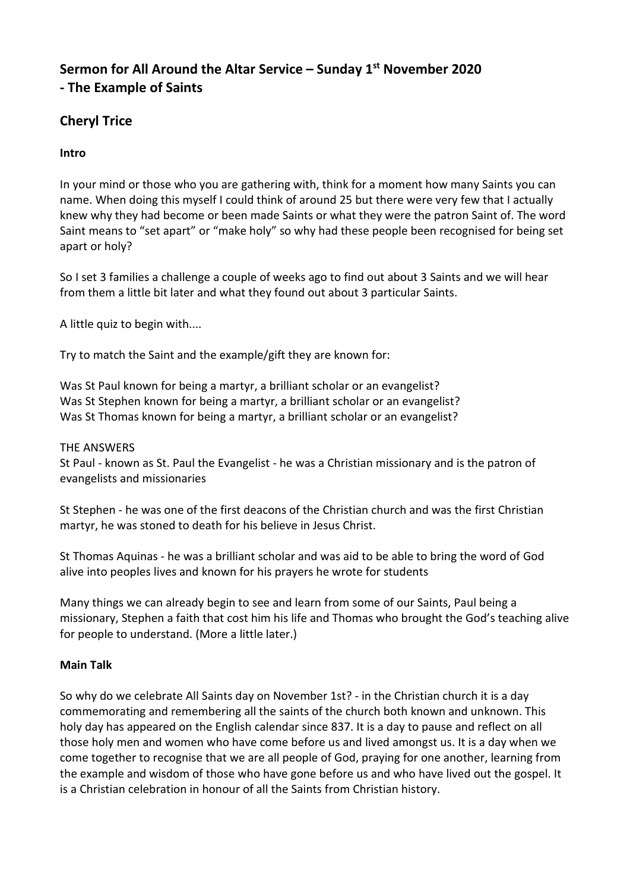# **Sermon for All Around the Altar Service – Sunday 1 st November 2020 - The Example of Saints**

# **Cheryl Trice**

## **Intro**

In your mind or those who you are gathering with, think for a moment how many Saints you can name. When doing this myself I could think of around 25 but there were very few that I actually knew why they had become or been made Saints or what they were the patron Saint of. The word Saint means to "set apart" or "make holy" so why had these people been recognised for being set apart or holy?

So I set 3 families a challenge a couple of weeks ago to find out about 3 Saints and we will hear from them a little bit later and what they found out about 3 particular Saints.

A little quiz to begin with....

Try to match the Saint and the example/gift they are known for:

Was St Paul known for being a martyr, a brilliant scholar or an evangelist? Was St Stephen known for being a martyr, a brilliant scholar or an evangelist? Was St Thomas known for being a martyr, a brilliant scholar or an evangelist?

#### THE ANSWERS

St Paul - known as St. Paul the Evangelist - he was a Christian missionary and is the patron of evangelists and missionaries

St Stephen - he was one of the first deacons of the Christian church and was the first Christian martyr, he was stoned to death for his believe in Jesus Christ.

St Thomas Aquinas - he was a brilliant scholar and was aid to be able to bring the word of God alive into peoples lives and known for his prayers he wrote for students

Many things we can already begin to see and learn from some of our Saints, Paul being a missionary, Stephen a faith that cost him his life and Thomas who brought the God's teaching alive for people to understand. (More a little later.)

#### **Main Talk**

So why do we celebrate All Saints day on November 1st? - in the Christian church it is a day commemorating and remembering all the saints of the church both known and unknown. This holy day has appeared on the English calendar since 837. It is a day to pause and reflect on all those holy men and women who have come before us and lived amongst us. It is a day when we come together to recognise that we are all people of God, praying for one another, learning from the example and wisdom of those who have gone before us and who have lived out the gospel. It is a Christian celebration in honour of all the Saints from Christian history.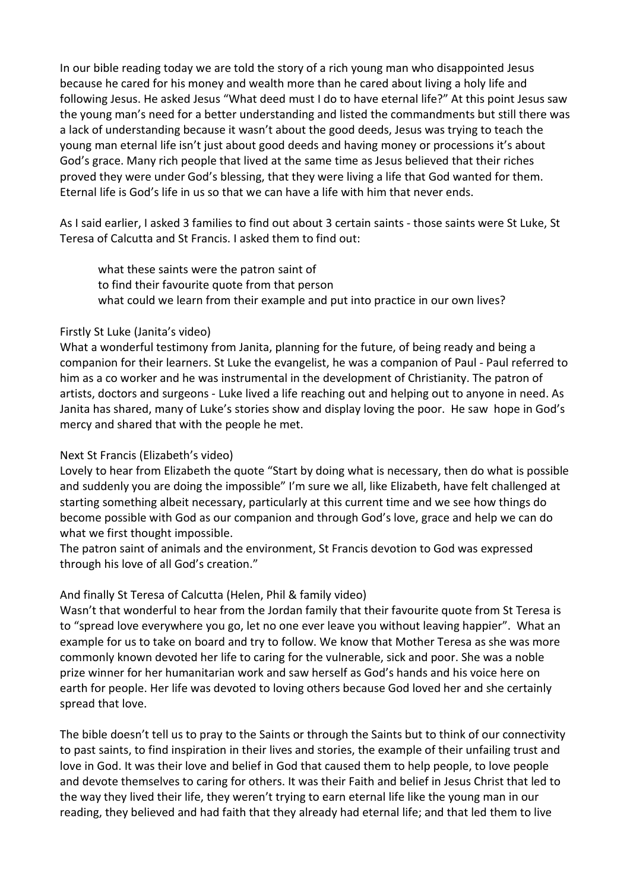In our bible reading today we are told the story of a rich young man who disappointed Jesus because he cared for his money and wealth more than he cared about living a holy life and following Jesus. He asked Jesus "What deed must I do to have eternal life?" At this point Jesus saw the young man's need for a better understanding and listed the commandments but still there was a lack of understanding because it wasn't about the good deeds, Jesus was trying to teach the young man eternal life isn't just about good deeds and having money or processions it's about God's grace. Many rich people that lived at the same time as Jesus believed that their riches proved they were under God's blessing, that they were living a life that God wanted for them. Eternal life is God's life in us so that we can have a life with him that never ends.

As I said earlier, I asked 3 families to find out about 3 certain saints - those saints were St Luke, St Teresa of Calcutta and St Francis. I asked them to find out:

what these saints were the patron saint of to find their favourite quote from that person what could we learn from their example and put into practice in our own lives?

#### Firstly St Luke (Janita's video)

What a wonderful testimony from Janita, planning for the future, of being ready and being a companion for their learners. St Luke the evangelist, he was a companion of Paul - Paul referred to him as a co worker and he was instrumental in the development of Christianity. The patron of artists, doctors and surgeons - Luke lived a life reaching out and helping out to anyone in need. As Janita has shared, many of Luke's stories show and display loving the poor. He saw hope in God's mercy and shared that with the people he met.

#### Next St Francis (Elizabeth's video)

Lovely to hear from Elizabeth the quote "Start by doing what is necessary, then do what is possible and suddenly you are doing the impossible" I'm sure we all, like Elizabeth, have felt challenged at starting something albeit necessary, particularly at this current time and we see how things do become possible with God as our companion and through God's love, grace and help we can do what we first thought impossible.

The patron saint of animals and the environment, St Francis devotion to God was expressed through his love of all God's creation."

#### And finally St Teresa of Calcutta (Helen, Phil & family video)

Wasn't that wonderful to hear from the Jordan family that their favourite quote from St Teresa is to "spread love everywhere you go, let no one ever leave you without leaving happier". What an example for us to take on board and try to follow. We know that Mother Teresa as she was more commonly known devoted her life to caring for the vulnerable, sick and poor. She was a noble prize winner for her humanitarian work and saw herself as God's hands and his voice here on earth for people. Her life was devoted to loving others because God loved her and she certainly spread that love.

The bible doesn't tell us to pray to the Saints or through the Saints but to think of our connectivity to past saints, to find inspiration in their lives and stories, the example of their unfailing trust and love in God. It was their love and belief in God that caused them to help people, to love people and devote themselves to caring for others. It was their Faith and belief in Jesus Christ that led to the way they lived their life, they weren't trying to earn eternal life like the young man in our reading, they believed and had faith that they already had eternal life; and that led them to live